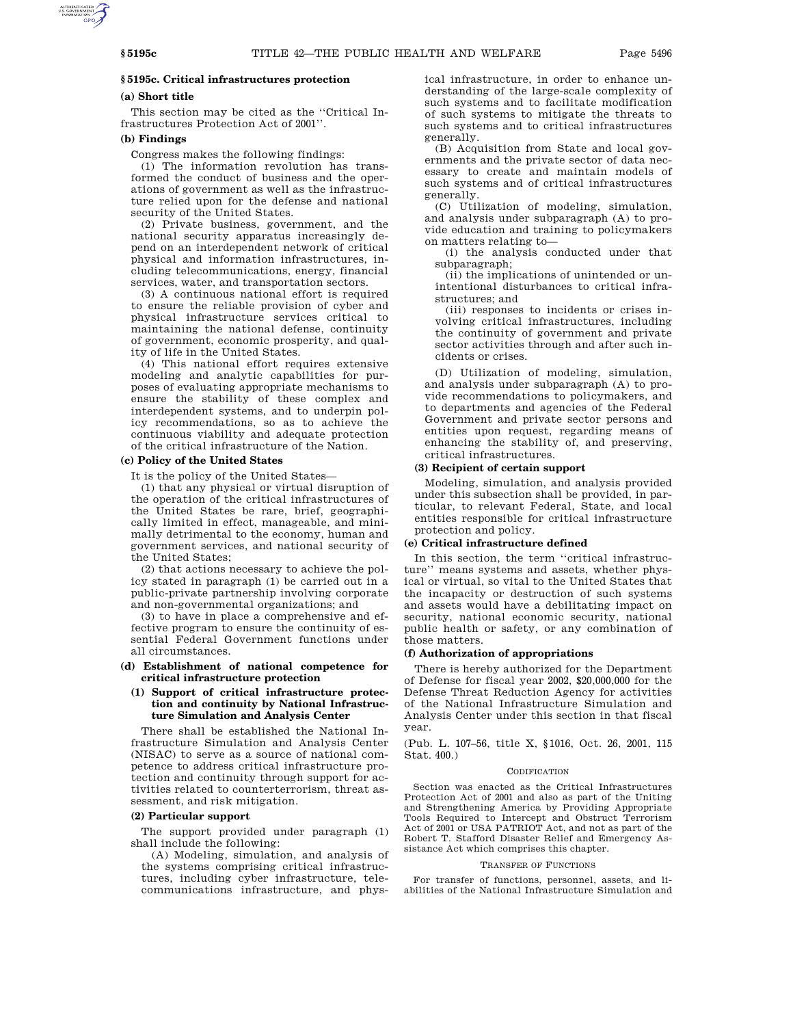# **§ 5195c. Critical infrastructures protection**

## **(a) Short title**

This section may be cited as the ''Critical Infrastructures Protection Act of 2001''.

### **(b) Findings**

Congress makes the following findings:

(1) The information revolution has transformed the conduct of business and the operations of government as well as the infrastructure relied upon for the defense and national security of the United States.

(2) Private business, government, and the national security apparatus increasingly depend on an interdependent network of critical physical and information infrastructures, including telecommunications, energy, financial services, water, and transportation sectors.

(3) A continuous national effort is required to ensure the reliable provision of cyber and physical infrastructure services critical to maintaining the national defense, continuity of government, economic prosperity, and quality of life in the United States.

(4) This national effort requires extensive modeling and analytic capabilities for purposes of evaluating appropriate mechanisms to ensure the stability of these complex and interdependent systems, and to underpin policy recommendations, so as to achieve the continuous viability and adequate protection of the critical infrastructure of the Nation.

### **(c) Policy of the United States**

It is the policy of the United States—

(1) that any physical or virtual disruption of the operation of the critical infrastructures of the United States be rare, brief, geographically limited in effect, manageable, and minimally detrimental to the economy, human and government services, and national security of the United States;

(2) that actions necessary to achieve the policy stated in paragraph (1) be carried out in a public-private partnership involving corporate and non-governmental organizations; and

(3) to have in place a comprehensive and effective program to ensure the continuity of essential Federal Government functions under all circumstances.

## **(d) Establishment of national competence for critical infrastructure protection**

## **(1) Support of critical infrastructure protection and continuity by National Infrastructure Simulation and Analysis Center**

There shall be established the National Infrastructure Simulation and Analysis Center (NISAC) to serve as a source of national competence to address critical infrastructure protection and continuity through support for activities related to counterterrorism, threat assessment, and risk mitigation.

## **(2) Particular support**

The support provided under paragraph (1) shall include the following:

(A) Modeling, simulation, and analysis of the systems comprising critical infrastructures, including cyber infrastructure, telecommunications infrastructure, and physical infrastructure, in order to enhance understanding of the large-scale complexity of such systems and to facilitate modification of such systems to mitigate the threats to such systems and to critical infrastructures generally.

(B) Acquisition from State and local governments and the private sector of data necessary to create and maintain models of such systems and of critical infrastructures generally.

(C) Utilization of modeling, simulation, and analysis under subparagraph (A) to provide education and training to policymakers on matters relating to—

(i) the analysis conducted under that subparagraph;

(ii) the implications of unintended or unintentional disturbances to critical infrastructures; and

(iii) responses to incidents or crises involving critical infrastructures, including the continuity of government and private sector activities through and after such incidents or crises.

(D) Utilization of modeling, simulation, and analysis under subparagraph (A) to provide recommendations to policymakers, and to departments and agencies of the Federal Government and private sector persons and entities upon request, regarding means of enhancing the stability of, and preserving, critical infrastructures.

## **(3) Recipient of certain support**

Modeling, simulation, and analysis provided under this subsection shall be provided, in particular, to relevant Federal, State, and local entities responsible for critical infrastructure protection and policy.

## **(e) Critical infrastructure defined**

In this section, the term ''critical infrastructure'' means systems and assets, whether physical or virtual, so vital to the United States that the incapacity or destruction of such systems and assets would have a debilitating impact on security, national economic security, national public health or safety, or any combination of those matters.

## **(f) Authorization of appropriations**

There is hereby authorized for the Department of Defense for fiscal year 2002, \$20,000,000 for the Defense Threat Reduction Agency for activities of the National Infrastructure Simulation and Analysis Center under this section in that fiscal year.

(Pub. L. 107–56, title X, §1016, Oct. 26, 2001, 115 Stat. 400.)

#### CODIFICATION

Section was enacted as the Critical Infrastructures Protection Act of 2001 and also as part of the Uniting and Strengthening America by Providing Appropriate Tools Required to Intercept and Obstruct Terrorism Act of 2001 or USA PATRIOT Act, and not as part of the Robert T. Stafford Disaster Relief and Emergency Assistance Act which comprises this chapter.

#### TRANSFER OF FUNCTIONS

For transfer of functions, personnel, assets, and liabilities of the National Infrastructure Simulation and